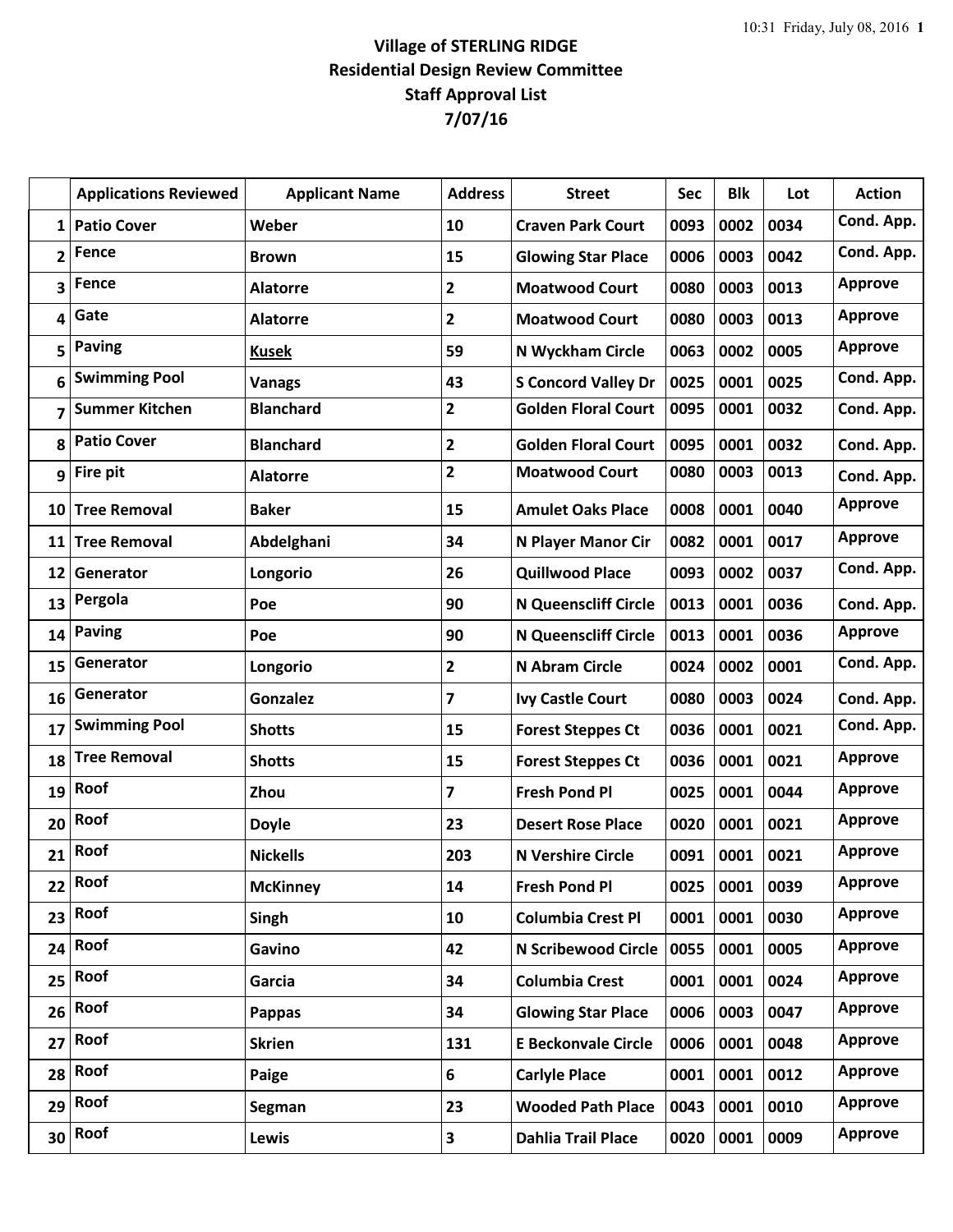## **Village of STERLING RIDGE Residential Design Review Committee Staff Approval List 7/07/16**

|                | <b>Applications Reviewed</b> | <b>Applicant Name</b> | <b>Address</b>          | <b>Street</b>               | Sec  | <b>Blk</b> | Lot  | <b>Action</b>  |
|----------------|------------------------------|-----------------------|-------------------------|-----------------------------|------|------------|------|----------------|
| $\mathbf{1}$   | <b>Patio Cover</b>           | Weber                 | 10                      | <b>Craven Park Court</b>    | 0093 | 0002       | 0034 | Cond. App.     |
| $\overline{2}$ | Fence                        | <b>Brown</b>          | 15                      | <b>Glowing Star Place</b>   | 0006 | 0003       | 0042 | Cond. App.     |
| 3              | Fence                        | <b>Alatorre</b>       | $\mathbf{2}$            | <b>Moatwood Court</b>       | 0080 | 0003       | 0013 | <b>Approve</b> |
| 4              | Gate                         | <b>Alatorre</b>       | $\mathbf{2}$            | <b>Moatwood Court</b>       | 0080 | 0003       | 0013 | <b>Approve</b> |
| 5              | <b>Paving</b>                | <b>Kusek</b>          | 59                      | N Wyckham Circle            | 0063 | 0002       | 0005 | <b>Approve</b> |
| 6              | <b>Swimming Pool</b>         | <b>Vanags</b>         | 43                      | <b>S Concord Valley Dr</b>  | 0025 | 0001       | 0025 | Cond. App.     |
| 7              | <b>Summer Kitchen</b>        | <b>Blanchard</b>      | $\mathbf{2}$            | <b>Golden Floral Court</b>  | 0095 | 0001       | 0032 | Cond. App.     |
| 8              | <b>Patio Cover</b>           | <b>Blanchard</b>      | $\mathbf{2}$            | <b>Golden Floral Court</b>  | 0095 | 0001       | 0032 | Cond. App.     |
| 9              | Fire pit                     | <b>Alatorre</b>       | $\mathbf{2}$            | <b>Moatwood Court</b>       | 0080 | 0003       | 0013 | Cond. App.     |
| 10             | <b>Tree Removal</b>          | <b>Baker</b>          | 15                      | <b>Amulet Oaks Place</b>    | 0008 | 0001       | 0040 | <b>Approve</b> |
| 11             | <b>Tree Removal</b>          | Abdelghani            | 34                      | N Player Manor Cir          | 0082 | 0001       | 0017 | <b>Approve</b> |
| 12             | Generator                    | Longorio              | 26                      | <b>Quillwood Place</b>      | 0093 | 0002       | 0037 | Cond. App.     |
| 13             | Pergola                      | Poe                   | 90                      | <b>N Queenscliff Circle</b> | 0013 | 0001       | 0036 | Cond. App.     |
| 14             | <b>Paving</b>                | Poe                   | 90                      | <b>N Queenscliff Circle</b> | 0013 | 0001       | 0036 | <b>Approve</b> |
| 15             | Generator                    | Longorio              | $\mathbf{2}$            | N Abram Circle              | 0024 | 0002       | 0001 | Cond. App.     |
| 16             | Generator                    | <b>Gonzalez</b>       | $\overline{\mathbf{z}}$ | <b>Ivy Castle Court</b>     | 0080 | 0003       | 0024 | Cond. App.     |
| 17             | <b>Swimming Pool</b>         | <b>Shotts</b>         | 15                      | <b>Forest Steppes Ct</b>    | 0036 | 0001       | 0021 | Cond. App.     |
| 18             | <b>Tree Removal</b>          | <b>Shotts</b>         | 15                      | <b>Forest Steppes Ct</b>    | 0036 | 0001       | 0021 | <b>Approve</b> |
| 19             | Roof                         | Zhou                  | $\overline{\mathbf{z}}$ | <b>Fresh Pond Pl</b>        | 0025 | 0001       | 0044 | <b>Approve</b> |
| 20             | Roof                         | <b>Doyle</b>          | 23                      | <b>Desert Rose Place</b>    | 0020 | 0001       | 0021 | <b>Approve</b> |
| 21             | Roof                         | <b>Nickells</b>       | 203                     | <b>N Vershire Circle</b>    | 0091 | 0001       | 0021 | <b>Approve</b> |
| 22             | Roof                         | <b>McKinney</b>       | 14                      | <b>Fresh Pond Pl</b>        | 0025 | 0001       | 0039 | <b>Approve</b> |
| 23             | Roof                         | Singh                 | 10                      | <b>Columbia Crest Pl</b>    | 0001 | 0001       | 0030 | <b>Approve</b> |
| 24             | Roof                         | Gavino                | 42                      | <b>N Scribewood Circle</b>  | 0055 | 0001       | 0005 | <b>Approve</b> |
| 25             | Roof                         | Garcia                | 34                      | <b>Columbia Crest</b>       | 0001 | 0001       | 0024 | <b>Approve</b> |
| 26             | Roof                         | Pappas                | 34                      | <b>Glowing Star Place</b>   | 0006 | 0003       | 0047 | <b>Approve</b> |
| 27             | Roof                         | <b>Skrien</b>         | 131                     | <b>E Beckonvale Circle</b>  | 0006 | 0001       | 0048 | <b>Approve</b> |
| 28             | Roof                         | Paige                 | 6                       | <b>Carlyle Place</b>        | 0001 | 0001       | 0012 | <b>Approve</b> |
| 29             | Roof                         | Segman                | 23                      | <b>Wooded Path Place</b>    | 0043 | 0001       | 0010 | <b>Approve</b> |
| 30             | Roof                         | Lewis                 | $\overline{\mathbf{3}}$ | <b>Dahlia Trail Place</b>   | 0020 | 0001       | 0009 | <b>Approve</b> |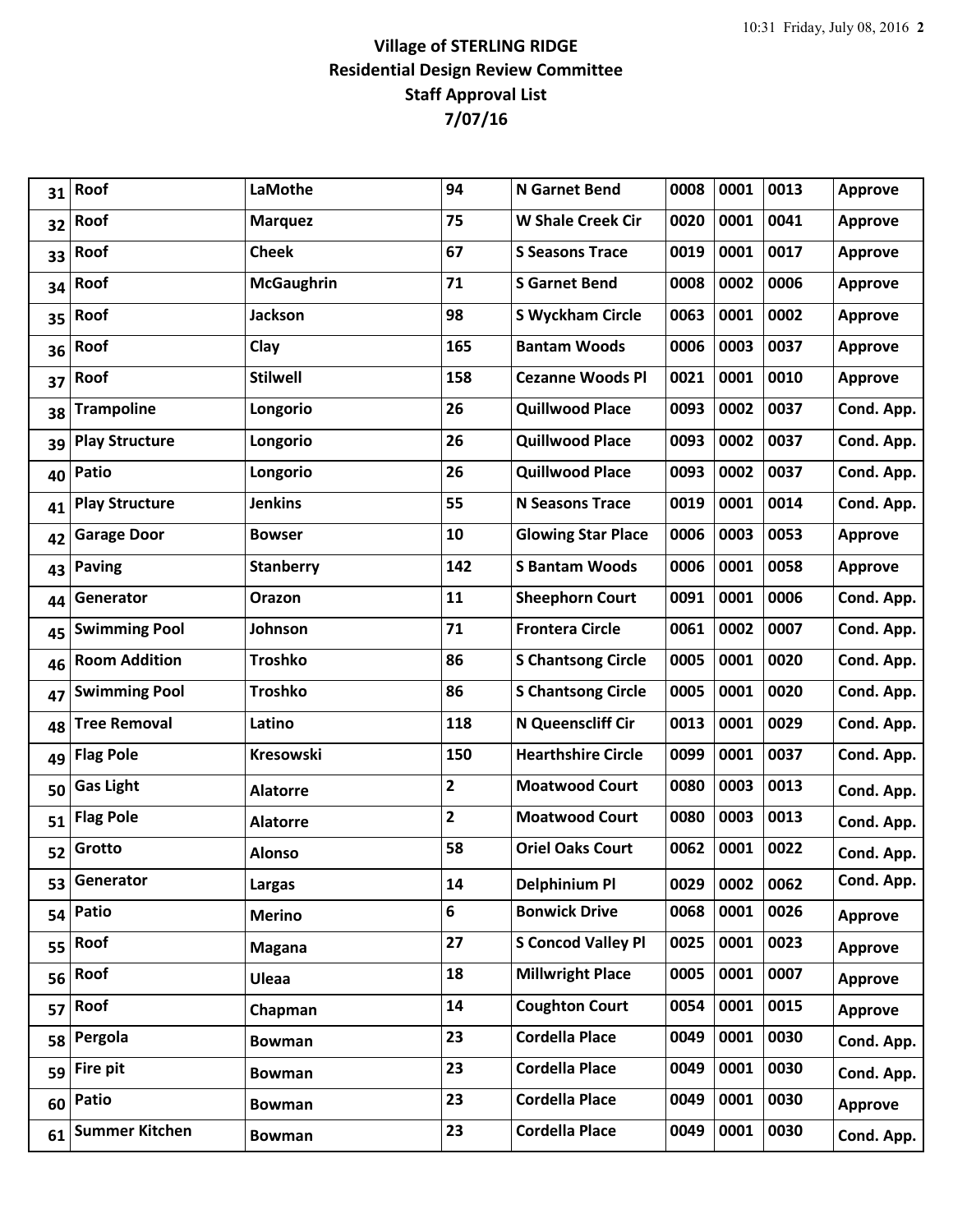## **Village of STERLING RIDGE Residential Design Review Committee Staff Approval List 7/07/16**

| 31 | Roof                  | LaMothe           | 94           | <b>N</b> Garnet Bend      | 0008 | 0001 | 0013 | <b>Approve</b> |
|----|-----------------------|-------------------|--------------|---------------------------|------|------|------|----------------|
| 32 | Roof                  | <b>Marquez</b>    | 75           | <b>W Shale Creek Cir</b>  | 0020 | 0001 | 0041 | <b>Approve</b> |
| 33 | Roof                  | <b>Cheek</b>      | 67           | <b>S Seasons Trace</b>    | 0019 | 0001 | 0017 | <b>Approve</b> |
| 34 | Roof                  | <b>McGaughrin</b> | 71           | <b>S</b> Garnet Bend      | 0008 | 0002 | 0006 | <b>Approve</b> |
| 35 | Roof                  | <b>Jackson</b>    | 98           | <b>S Wyckham Circle</b>   | 0063 | 0001 | 0002 | <b>Approve</b> |
| 36 | Roof                  | Clay              | 165          | <b>Bantam Woods</b>       | 0006 | 0003 | 0037 | <b>Approve</b> |
| 37 | Roof                  | <b>Stilwell</b>   | 158          | <b>Cezanne Woods Pl</b>   | 0021 | 0001 | 0010 | <b>Approve</b> |
| 38 | <b>Trampoline</b>     | Longorio          | 26           | <b>Quillwood Place</b>    | 0093 | 0002 | 0037 | Cond. App.     |
| 39 | <b>Play Structure</b> | Longorio          | 26           | <b>Quillwood Place</b>    | 0093 | 0002 | 0037 | Cond. App.     |
| 40 | Patio                 | Longorio          | 26           | <b>Quillwood Place</b>    | 0093 | 0002 | 0037 | Cond. App.     |
| 41 | <b>Play Structure</b> | <b>Jenkins</b>    | 55           | <b>N Seasons Trace</b>    | 0019 | 0001 | 0014 | Cond. App.     |
| 42 | <b>Garage Door</b>    | <b>Bowser</b>     | 10           | <b>Glowing Star Place</b> | 0006 | 0003 | 0053 | <b>Approve</b> |
| 43 | <b>Paving</b>         | <b>Stanberry</b>  | 142          | <b>S Bantam Woods</b>     | 0006 | 0001 | 0058 | <b>Approve</b> |
| 44 | Generator             | Orazon            | 11           | <b>Sheephorn Court</b>    | 0091 | 0001 | 0006 | Cond. App.     |
| 45 | <b>Swimming Pool</b>  | Johnson           | 71           | <b>Frontera Circle</b>    | 0061 | 0002 | 0007 | Cond. App.     |
| 46 | <b>Room Addition</b>  | <b>Troshko</b>    | 86           | <b>S Chantsong Circle</b> | 0005 | 0001 | 0020 | Cond. App.     |
| 47 | <b>Swimming Pool</b>  | <b>Troshko</b>    | 86           | <b>S Chantsong Circle</b> | 0005 | 0001 | 0020 | Cond. App.     |
| 48 | <b>Tree Removal</b>   | Latino            | 118          | N Queenscliff Cir         | 0013 | 0001 | 0029 | Cond. App.     |
| 49 | <b>Flag Pole</b>      | <b>Kresowski</b>  | 150          | <b>Hearthshire Circle</b> | 0099 | 0001 | 0037 | Cond. App.     |
| 50 | <b>Gas Light</b>      | <b>Alatorre</b>   | $\mathbf{2}$ | <b>Moatwood Court</b>     | 0080 | 0003 | 0013 | Cond. App.     |
| 51 | <b>Flag Pole</b>      | <b>Alatorre</b>   | 2            | <b>Moatwood Court</b>     | 0080 | 0003 | 0013 | Cond. App.     |
| 52 | Grotto                | <b>Alonso</b>     | 58           | <b>Oriel Oaks Court</b>   | 0062 | 0001 | 0022 | Cond. App.     |
| 53 | Generator             | Largas            | 14           | <b>Delphinium Pl</b>      | 0029 | 0002 | 0062 | Cond. App.     |
| 54 | Patio                 | <b>Merino</b>     | 6            | <b>Bonwick Drive</b>      | 0068 | 0001 | 0026 | <b>Approve</b> |
| 55 | Roof                  | <b>Magana</b>     | 27           | <b>S Concod Valley Pl</b> | 0025 | 0001 | 0023 | <b>Approve</b> |
| 56 | Roof                  | Uleaa             | 18           | <b>Millwright Place</b>   | 0005 | 0001 | 0007 | <b>Approve</b> |
| 57 | Roof                  | Chapman           | 14           | <b>Coughton Court</b>     | 0054 | 0001 | 0015 | <b>Approve</b> |
| 58 | Pergola               | <b>Bowman</b>     | 23           | <b>Cordella Place</b>     | 0049 | 0001 | 0030 | Cond. App.     |
|    | $59$ Fire pit         | <b>Bowman</b>     | 23           | <b>Cordella Place</b>     | 0049 | 0001 | 0030 | Cond. App.     |
| 60 | Patio                 | <b>Bowman</b>     | 23           | <b>Cordella Place</b>     | 0049 | 0001 | 0030 | <b>Approve</b> |
| 61 | <b>Summer Kitchen</b> | <b>Bowman</b>     | 23           | <b>Cordella Place</b>     | 0049 | 0001 | 0030 | Cond. App.     |